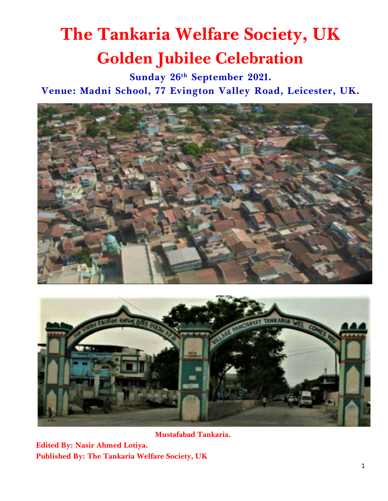# **The Tankaria Welfare Society, UK Golden Jubilee Celebration**

**Sunday 26th September 2021.**

**Venue: Madni School, 77 Evington Valley Road, Leicester, UK.**





 **Mustafabad Tankaria.**

**Edited By: Nasir Ahmed Lotiya. Published By: The Tankaria Welfare Society, UK**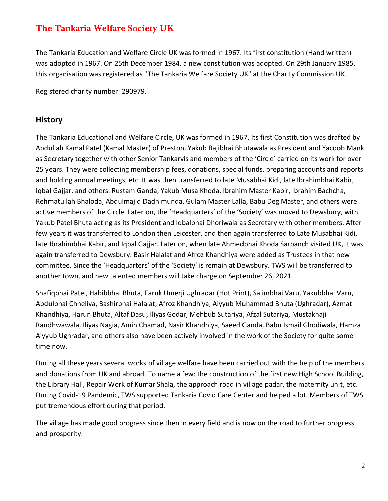# **The Tankaria Welfare Society UK**

The Tankaria Education and Welfare Circle UK was formed in 1967. Its first constitution (Hand written) was adopted in 1967. On 25th December 1984, a new constitution was adopted. On 29th January 1985, this organisation was registered as "The Tankaria Welfare Society UK" at the Charity Commission UK.

Registered charity number: 290979.

# **History**

The Tankaria Educational and Welfare Circle, UK was formed in 1967. Its first Constitution was drafted by Abdullah Kamal Patel (Kamal Master) of Preston. Yakub Bajibhai Bhutawala as President and Yacoob Mank as Secretary together with other Senior Tankarvis and members of the 'Circle' carried on its work for over 25 years. They were collecting membership fees, donations, special funds, preparing accounts and reports and holding annual meetings, etc. It was then transferred to late Musabhai Kidi, late Ibrahimbhai Kabir, Iqbal Gajjar, and others. Rustam Ganda, Yakub Musa Khoda, Ibrahim Master Kabir, Ibrahim Bachcha, Rehmatullah Bhaloda, Abdulmajid Dadhimunda, Gulam Master Lalla, Babu Deg Master, and others were active members of the Circle. Later on, the 'Headquarters' of the 'Society' was moved to Dewsbury, with Yakub Patel Bhuta acting as its President and Iqbalbhai Dhoriwala as Secretary with other members. After few years it was transferred to London then Leicester, and then again transferred to Late Musabhai Kidi, late Ibrahimbhai Kabir, and Iqbal Gajjar. Later on, when late Ahmedbhai Khoda Sarpanch visited UK, it was again transferred to Dewsbury. Basir Halalat and Afroz Khandhiya were added as Trustees in that new committee. Since the 'Headquarters' of the 'Society' is remain at Dewsbury. TWS will be transferred to another town, and new talented members will take charge on September 26, 2021.

Shafiqbhai Patel, Habibbhai Bhuta, Faruk Umerji Ughradar (Hot Print), Salimbhai Varu, Yakubbhai Varu, Abdulbhai Chheliya, Bashirbhai Halalat, Afroz Khandhiya, Aiyyub Muhammad Bhuta (Ughradar), Azmat Khandhiya, Harun Bhuta, Altaf Dasu, Iliyas Godar, Mehbub Sutariya, Afzal Sutariya, Mustakhaji Randhwawala, Iliyas Nagia, Amin Chamad, Nasir Khandhiya, Saeed Ganda, Babu Ismail Ghodiwala, Hamza Aiyyub Ughradar, and others also have been actively involved in the work of the Society for quite some time now.

During all these years several works of village welfare have been carried out with the help of the members and donations from UK and abroad. To name a few: the construction of the first new High School Building, the Library Hall, Repair Work of Kumar Shala, the approach road in village padar, the maternity unit, etc. During Covid-19 Pandemic, TWS supported Tankaria Covid Care Center and helped a lot. Members of TWS put tremendous effort during that period.

The village has made good progress since then in every field and is now on the road to further progress and prosperity.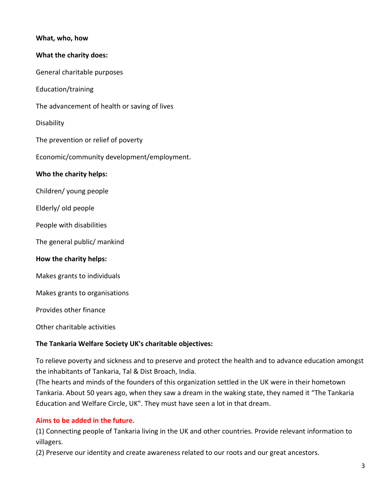#### **What, who, how**

#### **What the charity does:**

General charitable purposes

Education/training

The advancement of health or saving of lives

**Disability** 

The prevention or relief of poverty

Economic/community development/employment.

#### **Who the charity helps:**

Children/ young people

Elderly/ old people

People with disabilities

The general public/ mankind

#### **How the charity helps:**

Makes grants to individuals

Makes grants to organisations

Provides other finance

Other charitable activities

#### **The Tankaria Welfare Society UK's charitable objectives:**

To relieve poverty and sickness and to preserve and protect the health and to advance education amongst the inhabitants of Tankaria, Tal & Dist Broach, India.

(The hearts and minds of the founders of this organization settled in the UK were in their hometown Tankaria. About 50 years ago, when they saw a dream in the waking state, they named it "The Tankaria Education and Welfare Circle, UK". They must have seen a lot in that dream.

#### **Aims to be added in the future.**

(1) Connecting people of Tankaria living in the UK and other countries. Provide relevant information to villagers.

(2) Preserve our identity and create awareness related to our roots and our great ancestors.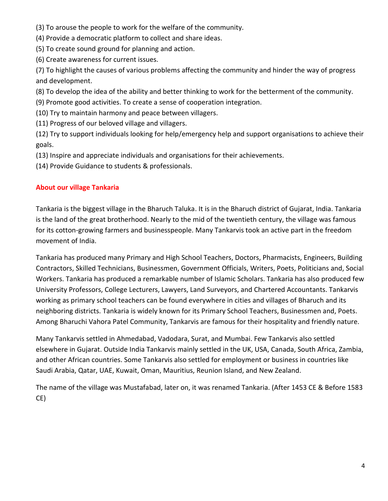- (3) To arouse the people to work for the welfare of the community.
- (4) Provide a democratic platform to collect and share ideas.
- (5) To create sound ground for planning and action.
- (6) Create awareness for current issues.

(7) To highlight the causes of various problems affecting the community and hinder the way of progress and development.

- (8) To develop the idea of the ability and better thinking to work for the betterment of the community.
- (9) Promote good activities. To create a sense of cooperation integration.
- (10) Try to maintain harmony and peace between villagers.
- (11) Progress of our beloved village and villagers.

(12) Try to support individuals looking for help/emergency help and support organisations to achieve their goals.

(13) Inspire and appreciate individuals and organisations for their achievements.

(14) Provide Guidance to students & professionals.

#### **About our village Tankaria**

Tankaria is the biggest village in the Bharuch Taluka. It is in the Bharuch district of Gujarat, India. Tankaria is the land of the great brotherhood. Nearly to the mid of the twentieth century, the village was famous for its cotton-growing farmers and businesspeople. Many Tankarvis took an active part in the freedom movement of India.

Tankaria has produced many Primary and High School Teachers, Doctors, Pharmacists, Engineers, Building Contractors, Skilled Technicians, Businessmen, Government Officials, Writers, Poets, Politicians and, Social Workers. Tankaria has produced a remarkable number of Islamic Scholars. Tankaria has also produced few University Professors, College Lecturers, Lawyers, Land Surveyors, and Chartered Accountants. Tankarvis working as primary school teachers can be found everywhere in cities and villages of Bharuch and its neighboring districts. Tankaria is widely known for its Primary School Teachers, Businessmen and, Poets. Among Bharuchi Vahora Patel Community, Tankarvis are famous for their hospitality and friendly nature.

Many Tankarvis settled in Ahmedabad, Vadodara, Surat, and Mumbai. Few Tankarvis also settled elsewhere in Gujarat. Outside India Tankarvis mainly settled in the UK, USA, Canada, South Africa, Zambia, and other African countries. Some Tankarvis also settled for employment or business in countries like Saudi Arabia, Qatar, UAE, Kuwait, Oman, Mauritius, Reunion Island, and New Zealand.

The name of the village was Mustafabad, later on, it was renamed Tankaria. (After 1453 CE & Before 1583 CE)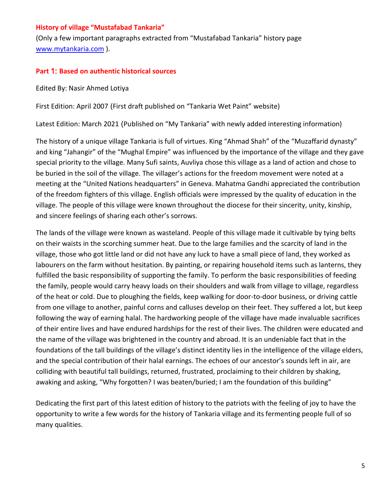#### **History of village "Mustafabad Tankaria"**

(Only a few important paragraphs extracted from "Mustafabad Tankaria" history page [www.mytankaria.com](http://www.mytankaria.com/) ).

#### **Part** 1: **Based on authentic historical sources**

Edited By: Nasir Ahmed Lotiya

First Edition: April 2007 (First draft published on "Tankaria Wet Paint" website)

Latest Edition: March 2021 (Published on "My Tankaria" with newly added interesting information)

The history of a unique village Tankaria is full of virtues. King "Ahmad Shah" of the "Muzaffarid dynasty" and king "Jahangir" of the "Mughal Empire" was influenced by the importance of the village and they gave special priority to the village. Many Sufi saints, Auvliya chose this village as a land of action and chose to be buried in the soil of the village. The villager's actions for the freedom movement were noted at a meeting at the "United Nations headquarters" in Geneva. Mahatma Gandhi appreciated the contribution of the freedom fighters of this village. English officials were impressed by the quality of education in the village. The people of this village were known throughout the diocese for their sincerity, unity, kinship, and sincere feelings of sharing each other's sorrows.

The lands of the village were known as wasteland. People of this village made it cultivable by tying belts on their waists in the scorching summer heat. Due to the large families and the scarcity of land in the village, those who got little land or did not have any luck to have a small piece of land, they worked as labourers on the farm without hesitation. By painting, or repairing household items such as lanterns, they fulfilled the basic responsibility of supporting the family. To perform the basic responsibilities of feeding the family, people would carry heavy loads on their shoulders and walk from village to village, regardless of the heat or cold. Due to ploughing the fields, keep walking for door-to-door business, or driving cattle from one village to another, painful corns and calluses develop on their feet. They suffered a lot, but keep following the way of earning halal. The hardworking people of the village have made invaluable sacrifices of their entire lives and have endured hardships for the rest of their lives. The children were educated and the name of the village was brightened in the country and abroad. It is an undeniable fact that in the foundations of the tall buildings of the village's distinct identity lies in the intelligence of the village elders, and the special contribution of their halal earnings. The echoes of our ancestor's sounds left in air, are colliding with beautiful tall buildings, returned, frustrated, proclaiming to their children by shaking, awaking and asking, "Why forgotten? I was beaten/buried; I am the foundation of this building"

Dedicating the first part of this latest edition of history to the patriots with the feeling of joy to have the opportunity to write a few words for the history of Tankaria village and its fermenting people full of so many qualities.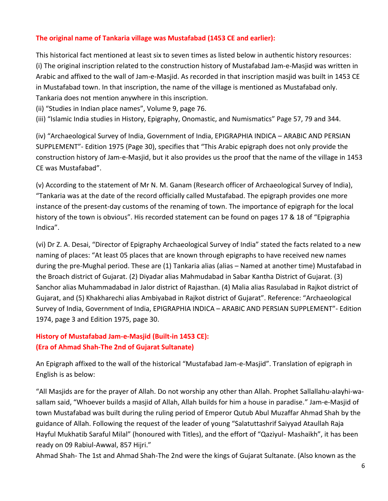#### **The original name of Tankaria village was Mustafabad (1453 CE and earlier):**

This historical fact mentioned at least six to seven times as listed below in authentic history resources: (i) The original inscription related to the construction history of Mustafabad Jam-e-Masjid was written in Arabic and affixed to the wall of Jam-e-Masjid. As recorded in that inscription masjid was built in 1453 CE in Mustafabad town. In that inscription, the name of the village is mentioned as Mustafabad only. Tankaria does not mention anywhere in this inscription.

(ii) "Studies in Indian place names", Volume 9, page 76.

(iii) "Islamic India studies in History, Epigraphy, Onomastic, and Numismatics" Page 57, 79 and 344.

(iv) "Archaeological Survey of India, Government of India, EPIGRAPHIA INDICA – ARABIC AND PERSIAN SUPPLEMENT"- Edition 1975 (Page 30), specifies that "This Arabic epigraph does not only provide the construction history of Jam-e-Masjid, but it also provides us the proof that the name of the village in 1453 CE was Mustafabad".

(v) According to the statement of Mr N. M. Ganam (Research officer of Archaeological Survey of India), "Tankaria was at the date of the record officially called Mustafabad. The epigraph provides one more instance of the present-day customs of the renaming of town. The importance of epigraph for the local history of the town is obvious". His recorded statement can be found on pages 17 & 18 of "Epigraphia Indica".

(vi) Dr Z. A. Desai, "Director of Epigraphy Archaeological Survey of India" stated the facts related to a new naming of places: "At least 05 places that are known through epigraphs to have received new names during the pre-Mughal period. These are (1) Tankaria alias (alias – Named at another time) Mustafabad in the Broach district of Gujarat. (2) Diyadar alias Mahmudabad in Sabar Kantha District of Gujarat. (3) Sanchor alias Muhammadabad in Jalor district of Rajasthan. (4) Malia alias Rasulabad in Rajkot district of Gujarat, and (5) Khakharechi alias Ambiyabad in Rajkot district of Gujarat". Reference: "Archaeological Survey of India, Government of India, EPIGRAPHIA INDICA – ARABIC AND PERSIAN SUPPLEMENT"- Edition 1974, page 3 and Edition 1975, page 30.

# **History of Mustafabad Jam-e-Masjid (Built-in 1453 CE): (Era of Ahmad Shah-The 2nd of Gujarat Sultanate)**

An Epigraph affixed to the wall of the historical "Mustafabad Jam-e-Masjid". Translation of epigraph in English is as below:

"All Masjids are for the prayer of Allah. Do not worship any other than Allah. Prophet Sallallahu-alayhi-wasallam said, "Whoever builds a masjid of Allah, Allah builds for him a house in paradise." Jam-e-Masjid of town Mustafabad was built during the ruling period of Emperor Qutub Abul Muzaffar Ahmad Shah by the guidance of Allah. Following the request of the leader of young "Salatuttashrif Saiyyad Ataullah Raja Hayful Mukhatib Saraful Milal" (honoured with Titles), and the effort of "Qaziyul- Mashaikh", it has been ready on 09 Rabiul-Awwal, 857 Hijri."

Ahmad Shah- The 1st and Ahmad Shah-The 2nd were the kings of Gujarat Sultanate. (Also known as the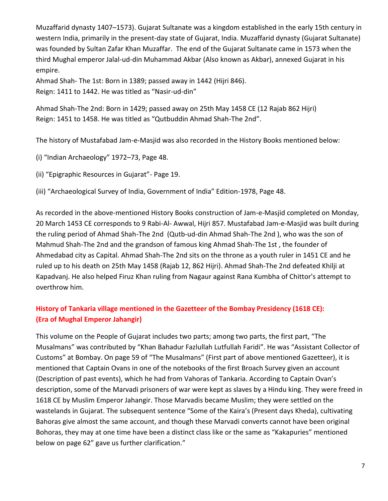Muzaffarid dynasty 1407–1573). Gujarat Sultanate was a kingdom established in the early 15th century in western India, primarily in the present-day state of Gujarat, India. Muzaffarid dynasty (Gujarat Sultanate) was founded by Sultan Zafar Khan Muzaffar. The end of the Gujarat Sultanate came in 1573 when the third Mughal emperor Jalal-ud-din Muhammad Akbar (Also known as Akbar), annexed Gujarat in his empire.

Ahmad Shah- The 1st: Born in 1389; passed away in 1442 (Hijri 846). Reign: 1411 to 1442. He was titled as "Nasir-ud-din"

Ahmad Shah-The 2nd: Born in 1429; passed away on 25th May 1458 CE (12 Rajab 862 Hijri) Reign: 1451 to 1458. He was titled as "Qutbuddin Ahmad Shah-The 2nd".

The history of Mustafabad Jam-e-Masjid was also recorded in the History Books mentioned below:

- (i) "Indian Archaeology" 1972–73, Page 48.
- (ii) "Epigraphic Resources in Gujarat"- Page 19.
- (iii) "Archaeological Survey of India, Government of India" Edition-1978, Page 48.

As recorded in the above-mentioned History Books construction of Jam-e-Masjid completed on Monday, 20 March 1453 CE corresponds to 9 Rabi-Al- Awwal, Hijri 857. Mustafabad Jam-e-Masjid was built during the ruling period of Ahmad Shah-The 2nd (Qutb-ud-din Ahmad Shah-The 2nd ), who was the son of Mahmud Shah-The 2nd and the grandson of famous king Ahmad Shah-The 1st , the founder of Ahmedabad city as Capital. Ahmad Shah-The 2nd sits on the throne as a youth ruler in 1451 CE and he ruled up to his death on 25th May 1458 (Rajab 12, 862 Hijri). Ahmad Shah-The 2nd defeated Khilji at Kapadvanj. He also helped Firuz Khan ruling from Nagaur against Rana Kumbha of Chittor's attempt to overthrow him.

# **History of Tankaria village mentioned in the Gazetteer of the Bombay Presidency (1618 CE): (Era of Mughal Emperor Jahangir)**

This volume on the People of Gujarat includes two parts; among two parts, the first part, "The Musalmans" was contributed by "Khan Bahadur Fazlullah Lutfullah Faridi". He was "Assistant Collector of Customs" at Bombay. On page 59 of "The Musalmans" (First part of above mentioned Gazetteer), it is mentioned that Captain Ovans in one of the notebooks of the first Broach Survey given an account (Description of past events), which he had from Vahoras of Tankaria. According to Captain Ovan's description, some of the Marvadi prisoners of war were kept as slaves by a Hindu king. They were freed in 1618 CE by Muslim Emperor Jahangir. Those Marvadis became Muslim; they were settled on the wastelands in Gujarat. The subsequent sentence "Some of the Kaira's (Present days Kheda), cultivating Bahoras give almost the same account, and though these Marvadi converts cannot have been original Bohoras, they may at one time have been a distinct class like or the same as "Kakapuries" mentioned below on page 62" gave us further clarification."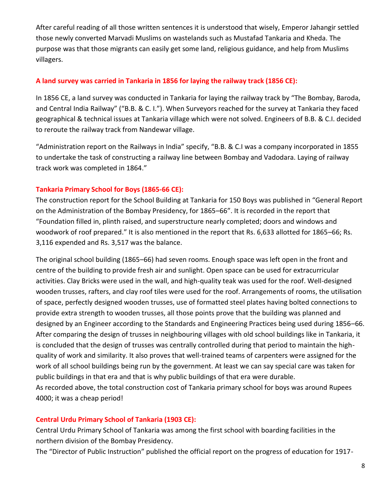After careful reading of all those written sentences it is understood that wisely, Emperor Jahangir settled those newly converted Marvadi Muslims on wastelands such as Mustafad Tankaria and Kheda. The purpose was that those migrants can easily get some land, religious guidance, and help from Muslims villagers.

#### **A land survey was carried in Tankaria in 1856 for laying the railway track (1856 CE):**

In 1856 CE, a land survey was conducted in Tankaria for laying the railway track by "The Bombay, Baroda, and Central India Railway" ("B.B. & C. I."). When Surveyors reached for the survey at Tankaria they faced geographical & technical issues at Tankaria village which were not solved. Engineers of B.B. & C.I. decided to reroute the railway track from Nandewar village.

"Administration report on the Railways in India" specify, "B.B. & C.I was a company incorporated in 1855 to undertake the task of constructing a railway line between Bombay and Vadodara. Laying of railway track work was completed in 1864."

#### **Tankaria Primary School for Boys (1865-66 CE):**

The construction report for the School Building at Tankaria for 150 Boys was published in "General Report on the Administration of the Bombay Presidency, for 1865–66". It is recorded in the report that "Foundation filled in, plinth raised, and superstructure nearly completed; doors and windows and woodwork of roof prepared." It is also mentioned in the report that Rs. 6,633 allotted for 1865–66; Rs. 3,116 expended and Rs. 3,517 was the balance.

The original school building (1865–66) had seven rooms. Enough space was left open in the front and centre of the building to provide fresh air and sunlight. Open space can be used for extracurricular activities. Clay Bricks were used in the wall, and high-quality teak was used for the roof. Well-designed wooden trusses, rafters, and clay roof tiles were used for the roof. Arrangements of rooms, the utilisation of space, perfectly designed wooden trusses, use of formatted steel plates having bolted connections to provide extra strength to wooden trusses, all those points prove that the building was planned and designed by an Engineer according to the Standards and Engineering Practices being used during 1856–66. After comparing the design of trusses in neighbouring villages with old school buildings like in Tankaria, it is concluded that the design of trusses was centrally controlled during that period to maintain the highquality of work and similarity. It also proves that well-trained teams of carpenters were assigned for the work of all school buildings being run by the government. At least we can say special care was taken for public buildings in that era and that is why public buildings of that era were durable. As recorded above, the total construction cost of Tankaria primary school for boys was around Rupees 4000; it was a cheap period!

#### **Central Urdu Primary School of Tankaria (1903 CE):**

Central Urdu Primary School of Tankaria was among the first school with boarding facilities in the northern division of the Bombay Presidency.

The "Director of Public Instruction" published the official report on the progress of education for 1917-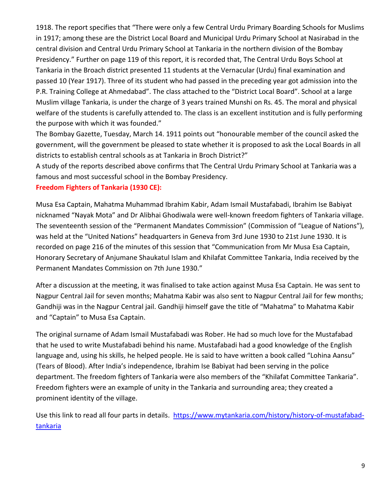1918. The report specifies that "There were only a few Central Urdu Primary Boarding Schools for Muslims in 1917; among these are the District Local Board and Municipal Urdu Primary School at Nasirabad in the central division and Central Urdu Primary School at Tankaria in the northern division of the Bombay Presidency." Further on page 119 of this report, it is recorded that, The Central Urdu Boys School at Tankaria in the Broach district presented 11 students at the Vernacular (Urdu) final examination and passed 10 (Year 1917). Three of its student who had passed in the preceding year got admission into the P.R. Training College at Ahmedabad". The class attached to the "District Local Board". School at a large Muslim village Tankaria, is under the charge of 3 years trained Munshi on Rs. 45. The moral and physical welfare of the students is carefully attended to. The class is an excellent institution and is fully performing the purpose with which it was founded."

The Bombay Gazette, Tuesday, March 14. 1911 points out "honourable member of the council asked the government, will the government be pleased to state whether it is proposed to ask the Local Boards in all districts to establish central schools as at Tankaria in Broch District?"

A study of the reports described above confirms that The Central Urdu Primary School at Tankaria was a famous and most successful school in the Bombay Presidency.

#### **Freedom Fighters of Tankaria (1930 CE):**

Musa Esa Captain, Mahatma Muhammad Ibrahim Kabir, Adam Ismail Mustafabadi, Ibrahim Ise Babiyat nicknamed "Nayak Mota" and Dr Alibhai Ghodiwala were well-known freedom fighters of Tankaria village. The seventeenth session of the "Permanent Mandates Commission" (Commission of "League of Nations"), was held at the "United Nations" headquarters in Geneva from 3rd June 1930 to 21st June 1930. It is recorded on page 216 of the minutes of this session that "Communication from Mr Musa Esa Captain, Honorary Secretary of Anjumane Shaukatul Islam and Khilafat Committee Tankaria, India received by the Permanent Mandates Commission on 7th June 1930."

After a discussion at the meeting, it was finalised to take action against Musa Esa Captain. He was sent to Nagpur Central Jail for seven months; Mahatma Kabir was also sent to Nagpur Central Jail for few months; Gandhiji was in the Nagpur Central jail. Gandhiji himself gave the title of "Mahatma" to Mahatma Kabir and "Captain" to Musa Esa Captain.

The original surname of Adam Ismail Mustafabadi was Rober. He had so much love for the Mustafabad that he used to write Mustafabadi behind his name. Mustafabadi had a good knowledge of the English language and, using his skills, he helped people. He is said to have written a book called "Lohina Aansu" (Tears of Blood). After India's independence, Ibrahim Ise Babiyat had been serving in the police department. The freedom fighters of Tankaria were also members of the "Khilafat Committee Tankaria". Freedom fighters were an example of unity in the Tankaria and surrounding area; they created a prominent identity of the village.

Use this link to read all four parts in details. [https://www.mytankaria.com/history/history-of-mustafabad](https://www.mytankaria.com/history/history-of-mustafabad-tankaria)[tankaria](https://www.mytankaria.com/history/history-of-mustafabad-tankaria)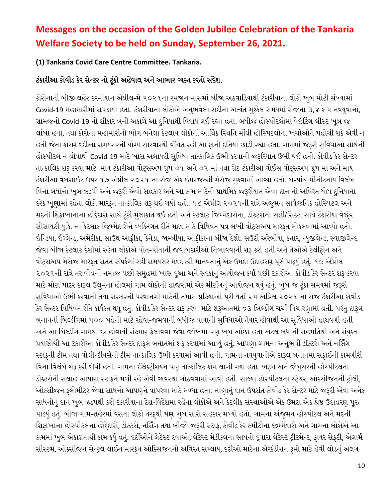# **Messages on the occasion of the Golden Jubilee Celebration of the Tankaria Welfare Society to be held on Sunday, September 26, 2021.**

# **(1) Tankaria Covid Care Centre Committee. Tankaria.**

# ટંકારીઆ કોવીડ કેર સેન્ટર નો ટૂંકો અહેવાલ અને આભાર વ્યક્ત કરતો સંદેશ.

કોરોનાની બીજી લહેર દરમીયાન એપ્રીલ-મે ૨૦૨૧ના રમજાન માસમાં બીજા અઠવાડડયાથી ટંકારીયાના લોકો ખુબ મોટી સંખ્યામાં Covid-19 મહામારીમાં સપડાયા હતા. ટંકારીયાના લોકોએ અનુભવેલા સદીના અત્યંત મુશ્કેલ સમયમાં રોજના ૩,૪ કે ૫ નવયુવાનો, ગ્રામજનો Covid-19 નો શીકાર બની અકાળે આ દુનિયાથી વિદાય લઈ રહ્યા હતા. બધીજ હોસ્પીટલોમાં વેઇટિંગ લીસ્ટ ખૂબ જ લાંબા હતા. તથા કોરોના મહામારીનો ભોગ બનેલા કેટલાય લોકોની આર્થિક સ્થિતિ મોંઘી હોસ્પિટલોના ખર્ચાઓને પહોંચી શકે એવી ન હતી જેના કારણે દદીઓ સમયસરની યોગ્ય સારવારથી વંનર્ત રહી આ ફાની દુનનયા છોડી રહ્યા હતા. ગામમાં જરૂરી સુનવધાઓ સાથેની હોસ્પીટલ ન હોવાથી Covid-19 માટે ખાસ અલાયદી સુનવધા તાત્કાનલક ઉભી કરવાની જરૂડરયાત ઉભી થઈ હતી. કોવીડ કેર સેન્ટર તાત્કાનલક શરૂ કરવા માટે માય ટંકારીઆ વોટ્સઅપ ગ્રુપ ૦૧ અને ૦૨ માં તથા ગ્રેટ ટંકારીઆ વોઈસ વોટ્સઅપ ગ્રુપ માં અને માય ટંકારીઆ વેબસાઈટ ઉપર ૧૭ એપ્રીલ ૨૦૨૧ ના રોજ એક ઈમરજન્સી મેસેજ મુકવામાં આવ્યો હતો. બે-પાંચ મીનીટનાય વિલંબ વિના બધાંનો ખુબ ઝડપી અને જરૂરી એવો સહકાર અને આ કામ માટેની પ્રાથમિક જરૂરીયાત એવા દાન નો અવિરત ધોધ દુનિયાના દરેક ખૂણામાં રહેતા લોકો મારફત તાત્કાલિક શરૂ થઇ ગયો હતો. ૧૮ એપ્રીલ ૨૦૨૧ની રાત્રે અંજુમન સાર્વજનિક હોસ્પિટલ અને મદની શિફાખાનાના હોદ્દેદારો સાથે ટૂંકી મુલાકાત થઈ હતી અને કેટલાક જિમ્મેદારોના, ડોકટરોના સહી/સિક્કા સાથે ટંકારીયા વેલ્ફેર સોસાયટી યુ.કે. ના કેટલાક જિમ્મેદારોને વ્યક્તિગત રીતે મદદ માટે વિધિવત પત્ર લખી વોટ્સઅપ મારફત મોકલવામાં આવ્યો હતો. ઇનન્ડયા, ઇંગ્લેન્ડ, અમેરીકા, સાઉથ આફ્રીકા, કેનેડા, જામ્બીયા, આફ્રીકાના બીજા દેશો, સઉદી અરેબીયા, કતાર, ન્યુજીલેન્ડ, સ્વાજીલેન્દ જેવા બીજા કેટલાક દેશોમાં રહેતા લોકોએ પોત-પોતાની જવાબદારીઓ નનભાવવાની શરૂ કરી હતી અને તેઓએ ટેલીફોન અને વોટ્સઅપ મેસેજ મારફત સતત સંપકિમાં રહી સમયસર મદદ કરી માનવતાનું એક ઉમદા ઉદાહરણ પ રં પાડયું હતું. ૧૯ એપ્રીલ ૨૦૨૧ની રાત્રે તરાવીહની નમાજ પછી સમુહમાં ખાસ દુઆ અને સદકાનું આયોજન કયાિ પછી ટંકારીઆ કોવીડ કેર સેન્ટર શરૂ કરવા માટે મોટા પાદર દારૂલ ઉલુમના હોલમાં ગામ લોકોની હાજરીમાં એક મીટીંગનું આયોજન થયું હતું. ખુબ જ ટુંકા સમયમાં જરૂરી સુવિધાઓ ઉભી કરવાની તથા સરકારની પરવાનગી માટેની તમામ પ્રક્રિયાઓ પુરી થતાં ૨૫ એપ્રિલ ૨૦૨૧ ના રોજ ટંકારીઆ કોવીડ કેર સેન્ટર વિધિવત રીતે કાર્યરત થયુ હતું. કોવીડ કેર સેન્ટર શરૂ કરવા માટે શરૂઆતમાં ૦૩ બિલ્ડીંગ ચર્ચા વિચારણામાં હતી. પરંતુ દારૂલ બનાતની નબલ્ડીંગમાં ૫૦૦ બહેનો માટે રહેવા-જમવાની બધીજ પાયાની સુનવધાઓ તૈયાર હોવાથી આ સુનવધાઓ હાથવગી હતી અને આ બિલ્ડીંગ ગામથી દૂર હોવાથી સંક્રમણ ફેલાવવા જેવા જોખમો પણ ખૂબ ઓછા હતા એટલે બધાની સહમતિથી અને સંયુક્ત પ્રયાસોથી આ ટંકારીઆ કોવીડ કેર સેન્ટર દારૂલ બનાતમાં શરૂ કરવામાં આવ્યું હતું. આપણા ગામના અનુભવી ડૉક્ટરો અને નર્સિંગ સ્ટાફની ટીમ તથા વોલીન્ટીયસિની ટીમ તાત્કાનલક ઉભી કરવામાં આવી હતી. ગામના નવયુવાનોએ દારૂલ બનાતમાં સફાઈની કામગીરી નવના નવલંબે શરૂ કરી દીધી હતી. ગામના ઈલેક્રીશયન પણ તાત્કાનલક કામે લાગી ગયા હતા. ભરૂર્ અને જંબુસરની હોસ્પીટલના ડોક્ટરોની સલાહ આપણા સ્ટાફને મળી રહે એવી વ્યવસ્થા ગોઠવવામાં આવી હતી. સાલ્યા હોસ્પીટલના સ્રેર્ર, ઓક્સીજનની રોલી, ઓક્સીજન ફ્લોમીટર જેવા સાધનો આપણને વાપરવા માટે મળ્યા હતા. નાણાનું દાન ઉપરાંત કોવીડ કેર સેન્ટર માટે જરૂરી એવા અનેક સાધનોનું દાન ખુબ ઝડપથી કરી ટંકારીયાના દેશ-વિદેશમાં રહેતા લોકોએ અને કેટલીક સંસ્થાઓએ એક ઉમદા એક શ્રેષ્ઠ ઉદાહરણ પૂરુ પાડયું હતું. બીજા ગામ-શહેરમાં વસતા લોકો તરફથી પણ ખુબ સારો સહકાર મળ્યો હતો. ગામના અંજુમન હોસ્પીટલ અને મદની

નશફાખાના હોસ્પીટલના હોદ્દેદારો, ડોકટરો, નર્સિંગ તથા બીજો જરૂરી સ્ટાફ, કોવીડ કેર કમીટીના જીમ્મેદારો અને ગામના લોકોએ આ કામમાં ખુબ એકાગ્રતાથી કામ કયુિં હતું. દદીઓને લેટેસ્ટ દવાઓ, લેટેસ્ટ મેડીકલના સાધનો દ્વારા લેટેસ્ટ રીટમેન્ટ, ફાયર સેફટી, એલામિ સીસ્ટમ, ઓક્સીજન સેન્રલ લાઈન મારફત ઓનક્સજનનો અનવરત સપ્લાય, દદીઓ માટેના એરકંડીશન રૂમો માટે હેવી લોડનું અલગ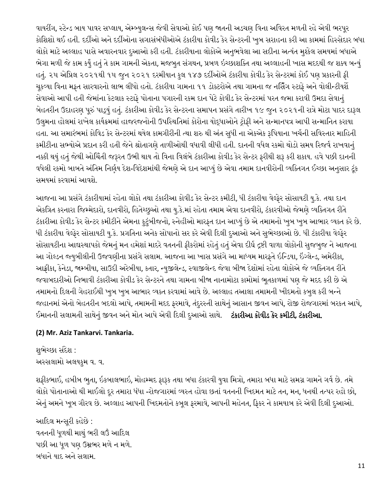વાયરીંગ, સ્ટેન્ડ બાય પાવર સપ્લાય, એમ્બ્યુલન્સ જેવી સેવાઓ કોઈ પણ જાતની અડચણ વિના અવિરત મળતી રહે એવી ભરપૂર કોનશશો થઈ હતી. દદીઓ અને દદીઓના સગાસંબંધીઓએ ટંકારીયા કોવીડ કેર સેન્ટરની ખુબ સરાહના કરી આ કામમાં નહસ્સેદાર બધા લોકો માટે અલ્લાહ પાસે અવારનવાર દુઆઓ કરી હતી. ટંકારીયાના લોકોએ અનુભવેલા આ સદીના અત્યંત મુશ્કેલ સમયમાં બધાએ ભેગા મળી જે કામ કયુિં હતું તે કામ ગામની એકતા, મજબુત સંગથન, પ્રબળ ઇચ્છાશનક્ત તથા અલ્લાહની ખાસ મદદથી જ શક્ય બન્યું હતું. ૨૫ એનપ્રલ ૨૦૨૧થી ૧૫ જુન ૨૦૨૧ દરમીયાન કુલ ૧૪૭ દદીઓએ ટંકારીયા કોવીડ કેર સેન્ટરમાં કોઈ પણ પ્રકારની ફી ચુકવ્યા વિના મફત સારવારનો લાભ લીધો હતો. ટંકારીયા ગામના ૧૧ ડોક્ટરોએ તથા ગામના જ નર્સિંગ સ્ટાફે અને વોલીન્ટીયર્શે સેવાઓ આપી હતી જેમાંના કેટલાક સ્ટાફે પોતાના પગારની રકમ દાન પેટે કોવીડ કેર સેન્ટરમાં પરત જમા કરાવી ઉમદા સેવાનું બેહતરીન ઉદાહરણ પૂરું પાડ્યું હતું. ટંકારીઆ કોવીડ કેર સેન્ટરના સમાપન પ્રસંગે તારીખ ૧૯ જુન ૨૦૨૧ની રાત્રે મોટા પાદર દારૂલ ઉલુમના હોલમાં રાખેલ કાયિયમમાં હાજરજનોની ઉપનસ્થનતમાં કોરોના યોદ્ધાઓને રોફી અને સન્માનપત્ર આપી સન્માનનત કરાયા હતા. આ સમારંભમાં કોનવડ કેર સેન્ટરમાં થયેલ કામગીરીની ત્થા શર થી અંત સુધી ના એકએક રૂનપયાના ખર્િની સનવસ્તાર માનહતી કમીટીના સભ્યોએ પ્રદાન કરી હતી જેને શ્રોતાગણે તાળીઓથી વધાવી લીધી હતી. દાનની વધેલ રકમો થોડો સમય ડરજવિ રાખવાનું નક્કી થયું હતું જેથી ઓચિંતી જરૂરત ઉભી થાય તો વિના વિલંબે ટંકારીઆ કોવીડ કેર સેન્ટર ફરીથી શરૂ કરી શકાય. હવે પછી દાનની વધેલી રકમો બાબતે અંતિમ નિર્ણય દેશ-વિદેશમાંથી જેમણે એ દાન આપ્યું છે એવા તમામ દાનવીરોની વ્યક્તિગત ઈચ્છા અનુસાર ટૂંક સમયમાં કરવામાં આવશે.

આજના આ પ્રસંગે ટંકારીયામાં રહેતા લોકો તથા ટંકારીઆ કોવીડ કેર સેન્ટર કમીટી, ધી ટંકારીયા વેલ્ફેર સોસાયટી યુ.કે. તથા દાન એકત્રિત કરનારા જિમ્મેદારો, દાનવીરો, હિતેચ્છુઓ તથા યુ.કે.માં રહેતા તમામ એવા દાનવીરો, ટંકારવીઓ જેમણે વ્યક્તિગત રીતે ટંકારીઆ કોવીડ કેર સેન્ટર કમીટીને એમના કુટુંબીજનો, સ્નેહીઓ મારફત દાન આપ્યું છે એ તમામનો ખુબ ખુબ આભાર વ્યક્ત કરે છે. ધી ટંકારીયા વેલ્ફેર સોસાયટી યુ.કે. પ્રગનતના અનેક સોપાનો સર કરે એવી ડદલી દુઆઓ અને સુભેચ્છાઓ છે. ધી ટંકારીયા વેલ્ફેર સોસાયટીના આદ્યસ્થાપકો જેમનું મન હમેશાં માદરે વતનની ફીકરોમાં રહેતું હતું એવા દીઘિ દ્રષ્ટી વાળા લોકોની સુજબુજ ને આજના આ ગોલ્ડન જ્યુબીલીની ઉજવણીના પ્રસંગે સલામ. આજના આ ખાસ પ્રસંગે આ માધ્યમ મારફતે ઇન્ડિયા, ઇંગ્લેન્ડ, અમેરીકા, આફ્રીકા, કેનેડા, જામ્બીયા, સાઉદી અરેબીયા, કતાર, ન્યુજીલેન્ડ, સ્વાજીલેન્દ જેવા બીજા દેશોમાં રહેતા લોકોએ જે વ્યનક્તગત રીતે જવાબદારીઓ નિભાવી ટંકારીઆ કોવીડ કેર સેન્ટરને તથા ગામના બીજા નાનામોટા કામોમાં ભૂતકાળમાં પણ જે મદદ કરી છે એ તમામનો ડદલની ગેહરાઈથી ખુબ ખુબ આભાર વ્યક્ત કરવામાં આવે છે. અલ્લાહ તઆલા તમામની ખીદમતો કબુલ કરી બન્ને જહાનમાં એનો બેહતરીન બદલો આપે, તમામની મદદ ફરમાવે, તંદુરસ્તી સાથેનું આસાન જીવન આપે, રોજી રોજગારમાં બરકત આપે, ઈમાનની સલામતી સાથેનું જીવન અને મોત આપે એવી ડદલી દુઆઓ સાથે. ટંકારીઆ કોવીડ કેર કમીટી**,** ટંકારીઆ.

# **(2) Mr. Aziz Tankarvi. Tankaria.**

શુભેચ્છા સંદેશ : અસ્સલામો અલયકુમ વ. વ.

શફીકભાઈ, હબીબ ભુતા, ઇકબાલભાઇ, મોહમ્મદ ફારૂક તથા બધા ટંકારવી યુવા મિત્રો, તમારા બધા માટે સમગ્ર ગામને ગર્વ છે. તમે લોકો પોતાનાઓ થી માઈલો દૂર તમારા ધંધા -રોજગારમાં વ્યસ્ત હોવા છતાં વતનની ખિદમત માટે તન, મન, ધનથી તત્પર રહો છો, એનું અમને ખૂબ ગૌરવ છે. અલ્લાહ આપની ખિદમતોને કબૂલ ફરમાવે, આપની મહેનત, ફિકર ને કામયાબ કરે એવી દિલી દુઆઓ.

આદિલ મન્સરી કહેછે : વતનની ધૂળથી માથું ભરી લઉં આદિલ પછી આ ધુળ પણ ઉમ્રભર મળે ન મળે. બધાને યાદ અને સલામ.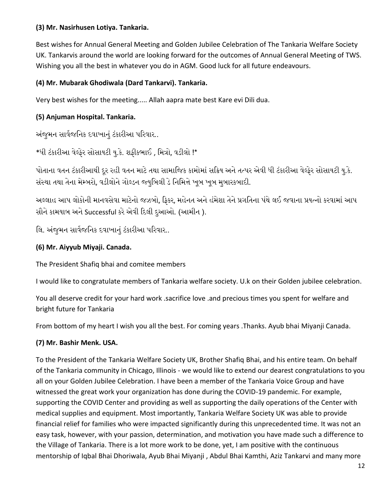# **(3) Mr. Nasirhusen Lotiya. Tankaria.**

Best wishes for Annual General Meeting and Golden Jubilee Celebration of The Tankaria Welfare Society UK. Tankarvis around the world are looking forward for the outcomes of Annual General Meeting of TWS. Wishing you all the best in whatever you do in AGM. Good luck for all future endeavours.

# **(4) Mr. Mubarak Ghodiwala (Dard Tankarvi). Tankaria.**

Very best wishes for the meeting..... Allah aapra mate best Kare evi Dili dua.

# **(5) Anjuman Hospital. Tankaria.**

અંજુમન સાર્વજનિક દવાખાનું ટંકારીઆ પરિવાર..

 $*$ ધી ટંકારીઆ વેલ્ફેર સોસાયટી યુ.કે. શફીકભાઈ , મિત્રો, વડીલો !\*

પોતાના વતન ટંકારીઆથી દૂર રહી વતન માટે તથા સામાજિક કામોમાં સક્રિય અને તત્પર એવી ધી ટંકારીઆ વેલ્ફેર સોસાયટી યુ.કે. સંસ્થા તથા તેના મેમ્બરો, વડીલોને ગોલ્ડન જ્યુબિલી ડે નિમિત્તે ખૂબ ખૂબ મુબારકબાદી.

અલ્લાહ આપ લોકોની માનવસેવા માટેનો જઝબો, ફિકર, મહેનત અને હંમેશા તેને પ્રગતિના પંથે લઈ જવાના પ્રયત્નો કરવામાં આપ સૌને કામયાબ અને Successful કરે એવી ડદલી દુઆઓ. (આમીન ).

લિ. અંજમન સાર્વજનિક દવાખાનં ટંકારીઆ પરિવાર..

# **(6) Mr. Aiyyub Miyaji. Canada.**

The President Shafiq bhai and comitee members

I would like to congratulate members of Tankaria welfare society. U.k on their Golden jubilee celebration.

You all deserve credit for your hard work .sacrifice love .and precious times you spent for welfare and bright future for Tankaria

From bottom of my heart I wish you all the best. For coming years .Thanks. Ayub bhai Miyanji Canada.

# **(7) Mr. Bashir Menk. USA.**

To the President of the Tankaria Welfare Society UK, Brother Shafiq Bhai, and his entire team. On behalf of the Tankaria community in Chicago, Illinois - we would like to extend our dearest congratulations to you all on your Golden Jubilee Celebration. I have been a member of the Tankaria Voice Group and have witnessed the great work your organization has done during the COVID-19 pandemic. For example, supporting the COVID Center and providing as well as supporting the daily operations of the Center with medical supplies and equipment. Most importantly, Tankaria Welfare Society UK was able to provide financial relief for families who were impacted significantly during this unprecedented time. It was not an easy task, however, with your passion, determination, and motivation you have made such a difference to the Village of Tankaria. There is a lot more work to be done, yet, I am positive with the continuous mentorship of Iqbal Bhai Dhoriwala, Ayub Bhai Miyanji , Abdul Bhai Kamthi, Aziz Tankarvi and many more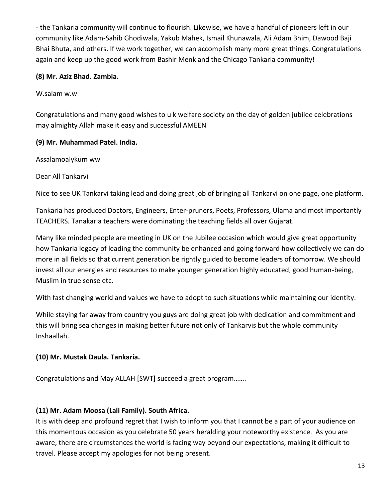- the Tankaria community will continue to flourish. Likewise, we have a handful of pioneers left in our community like Adam-Sahib Ghodiwala, Yakub Mahek, Ismail Khunawala, Ali Adam Bhim, Dawood Baji Bhai Bhuta, and others. If we work together, we can accomplish many more great things. Congratulations again and keep up the good work from Bashir Menk and the Chicago Tankaria community!

#### **(8) Mr. Aziz Bhad. Zambia.**

W.salam w.w

Congratulations and many good wishes to u k welfare society on the day of golden jubilee celebrations may almighty Allah make it easy and successful AMEEN

# **(9) Mr. Muhammad Patel. India.**

Assalamoalykum ww

Dear All Tankarvi

Nice to see UK Tankarvi taking lead and doing great job of bringing all Tankarvi on one page, one platform.

Tankaria has produced Doctors, Engineers, Enter-pruners, Poets, Professors, Ulama and most importantly TEACHERS. Tanakaria teachers were dominating the teaching fields all over Gujarat.

Many like minded people are meeting in UK on the Jubilee occasion which would give great opportunity how Tankaria legacy of leading the community be enhanced and going forward how collectively we can do more in all fields so that current generation be rightly guided to become leaders of tomorrow. We should invest all our energies and resources to make younger generation highly educated, good human-being, Muslim in true sense etc.

With fast changing world and values we have to adopt to such situations while maintaining our identity.

While staying far away from country you guys are doing great job with dedication and commitment and this will bring sea changes in making better future not only of Tankarvis but the whole community Inshaallah.

# **(10) Mr. Mustak Daula. Tankaria.**

Congratulations and May ALLAH [SWT] succeed a great program…….

# **(11) Mr. Adam Moosa (Lali Family). South Africa.**

It is with deep and profound regret that I wish to inform you that I cannot be a part of your audience on this momentous occasion as you celebrate 50 years heralding your noteworthy existence. As you are aware, there are circumstances the world is facing way beyond our expectations, making it difficult to travel. Please accept my apologies for not being present.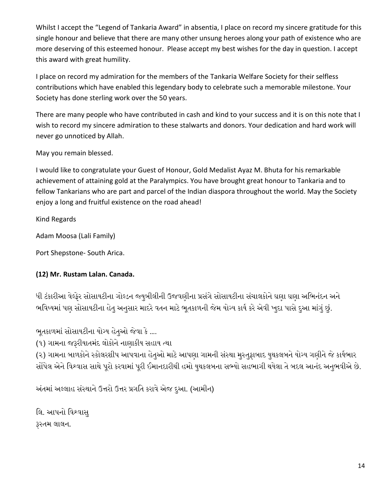Whilst I accept the "Legend of Tankaria Award" in absentia, I place on record my sincere gratitude for this single honour and believe that there are many other unsung heroes along your path of existence who are more deserving of this esteemed honour. Please accept my best wishes for the day in question. I accept this award with great humility.

I place on record my admiration for the members of the Tankaria Welfare Society for their selfless contributions which have enabled this legendary body to celebrate such a memorable milestone. Your Society has done sterling work over the 50 years.

There are many people who have contributed in cash and kind to your success and it is on this note that I wish to record my sincere admiration to these stalwarts and donors. Your dedication and hard work will never go unnoticed by Allah.

May you remain blessed.

I would like to congratulate your Guest of Honour, Gold Medalist Ayaz M. Bhuta for his remarkable achievement of attaining gold at the Paralympics. You have brought great honour to Tankaria and to fellow Tankarians who are part and parcel of the Indian diaspora throughout the world. May the Society enjoy a long and fruitful existence on the road ahead!

Kind Regards

Adam Moosa (Lali Family)

Port Shepstone- South Arica.

# **(12) Mr. Rustam Lalan. Canada.**

ધી ટંકારીઆ વેલ્ફેર સોસાયટીના ગોલ્ડન જ્યુબીલીની ઉજવણીના પ્રસંગે સોસાયટીના સંચાલકોને ઘણા ઘણા અભિનંદન અને ભવિષ્યમાં પણ સોસાયટીના હેતુ અનુસાર માદરે વતન માટે ભૂતકાળની જેમ યોગ્ય કાર્ય કરે એવી ખુદા પાસે દુઆ માંગું છું.

ભ તકાળમાં સોસાયટીના યોગ્ય હેતુઓ જેવા કે ….

(૧) ગામના જરૂરીયાતમંદ લોકોને નાણાકીય સહાય ત્થા

(૨) ગામના બાળકોને સ્કોલરશીપ આપવાના હેતુઓ માટે આપણા ગામની સંસ્થા મુસ્તુફાબાદ યુથકલબને યોગ્ય ગણીને જે કાર્યભાર સોંપેલ એને વિશ્વાસ સાથે પૂરો કરવામાં પૂરી ઈમાનદારીથી હમો યુથકલબના સભ્યો સહભાગી થયેલા તે બદલ આનંદ અનુભવીએ છે.

અંતમાં અલ્લાહ સંસ્થાને ઉત્તરો ઉત્તર પ્રગનત કરાવે એજ દુઆ. (આમીન)

લિ. આપનો વિશ્વાસુ રૂસ્તમ લાલન.